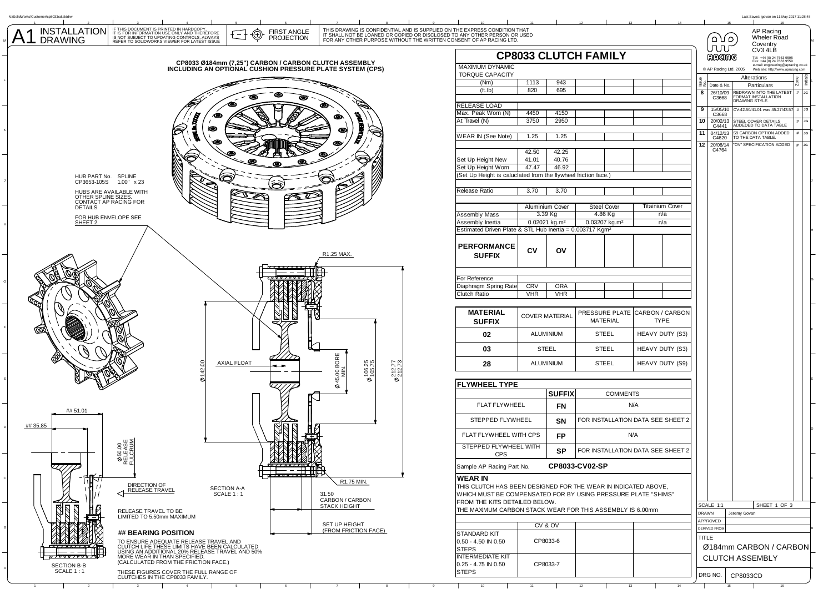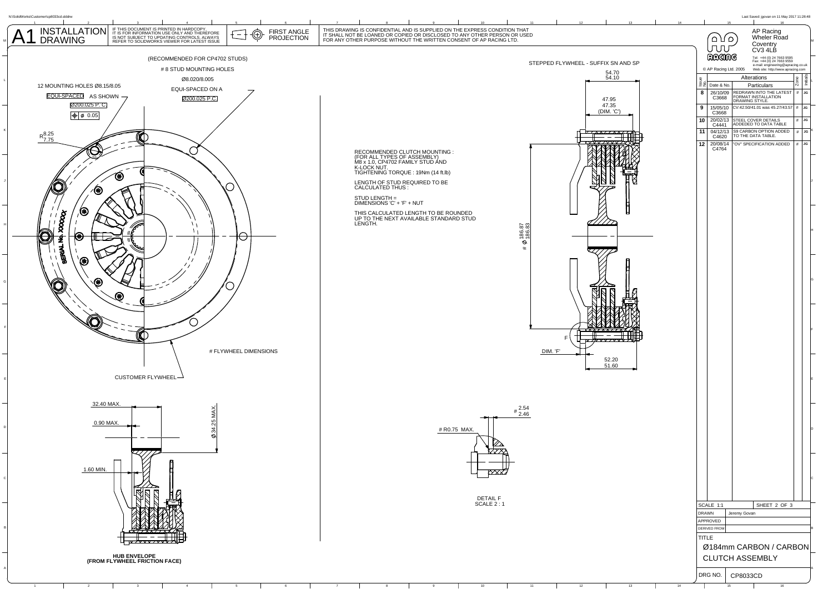